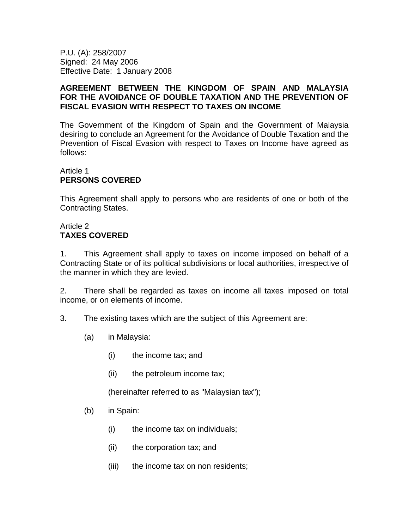P.U. (A): 258/2007 Signed: 24 May 2006 Effective Date: 1 January 2008

### **AGREEMENT BETWEEN THE KINGDOM OF SPAIN AND MALAYSIA FOR THE AVOIDANCE OF DOUBLE TAXATION AND THE PREVENTION OF FISCAL EVASION WITH RESPECT TO TAXES ON INCOME**

The Government of the Kingdom of Spain and the Government of Malaysia desiring to conclude an Agreement for the Avoidance of Double Taxation and the Prevention of Fiscal Evasion with respect to Taxes on Income have agreed as follows:

## Article 1 **PERSONS COVERED**

This Agreement shall apply to persons who are residents of one or both of the Contracting States.

## Article 2 **TAXES COVERED**

1. This Agreement shall apply to taxes on income imposed on behalf of a Contracting State or of its political subdivisions or local authorities, irrespective of the manner in which they are levied.

2. There shall be regarded as taxes on income all taxes imposed on total income, or on elements of income.

- 3. The existing taxes which are the subject of this Agreement are:
	- (a) in Malaysia:
		- (i) the income tax; and
		- (ii) the petroleum income tax;

(hereinafter referred to as "Malaysian tax");

- (b) in Spain:
	- (i) the income tax on individuals;
	- (ii) the corporation tax; and
	- (iii) the income tax on non residents;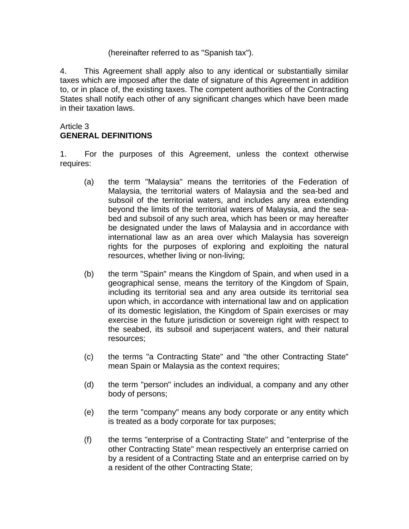### (hereinafter referred to as "Spanish tax").

4. This Agreement shall apply also to any identical or substantially similar taxes which are imposed after the date of signature of this Agreement in addition to, or in place of, the existing taxes. The competent authorities of the Contracting States shall notify each other of any significant changes which have been made in their taxation laws.

### Article 3 **GENERAL DEFINITIONS**

1. For the purposes of this Agreement, unless the context otherwise requires:

- (a) the term "Malaysia" means the territories of the Federation of Malaysia, the territorial waters of Malaysia and the sea-bed and subsoil of the territorial waters, and includes any area extending beyond the limits of the territorial waters of Malaysia, and the seabed and subsoil of any such area, which has been or may hereafter be designated under the laws of Malaysia and in accordance with international law as an area over which Malaysia has sovereign rights for the purposes of exploring and exploiting the natural resources, whether living or non-living;
- (b) the term "Spain" means the Kingdom of Spain, and when used in a geographical sense, means the territory of the Kingdom of Spain, including its territorial sea and any area outside its territorial sea upon which, in accordance with international law and on application of its domestic legislation, the Kingdom of Spain exercises or may exercise in the future jurisdiction or sovereign right with respect to the seabed, its subsoil and superjacent waters, and their natural resources;
- (c) the terms "a Contracting State" and "the other Contracting State" mean Spain or Malaysia as the context requires;
- (d) the term "person" includes an individual, a company and any other body of persons;
- (e) the term "company" means any body corporate or any entity which is treated as a body corporate for tax purposes;
- (f) the terms "enterprise of a Contracting State" and "enterprise of the other Contracting State" mean respectively an enterprise carried on by a resident of a Contracting State and an enterprise carried on by a resident of the other Contracting State;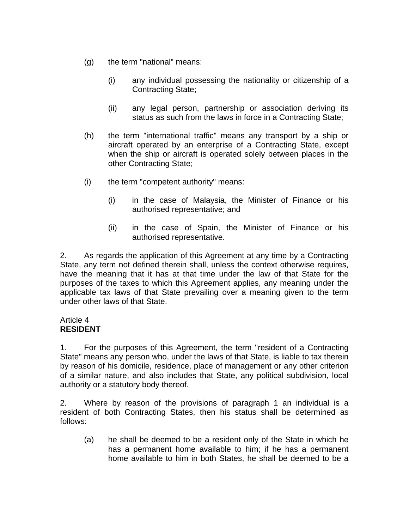- (g) the term "national" means:
	- (i) any individual possessing the nationality or citizenship of a Contracting State;
	- (ii) any legal person, partnership or association deriving its status as such from the laws in force in a Contracting State;
- (h) the term "international traffic" means any transport by a ship or aircraft operated by an enterprise of a Contracting State, except when the ship or aircraft is operated solely between places in the other Contracting State;
- (i) the term "competent authority" means:
	- (i) in the case of Malaysia, the Minister of Finance or his authorised representative; and
	- (ii) in the case of Spain, the Minister of Finance or his authorised representative.

2. As regards the application of this Agreement at any time by a Contracting State, any term not defined therein shall, unless the context otherwise requires, have the meaning that it has at that time under the law of that State for the purposes of the taxes to which this Agreement applies, any meaning under the applicable tax laws of that State prevailing over a meaning given to the term under other laws of that State.

### Article 4 **RESIDENT**

1. For the purposes of this Agreement, the term "resident of a Contracting State" means any person who, under the laws of that State, is liable to tax therein by reason of his domicile, residence, place of management or any other criterion of a similar nature, and also includes that State, any political subdivision, local authority or a statutory body thereof.

2. Where by reason of the provisions of paragraph 1 an individual is a resident of both Contracting States, then his status shall be determined as follows:

(a) he shall be deemed to be a resident only of the State in which he has a permanent home available to him; if he has a permanent home available to him in both States, he shall be deemed to be a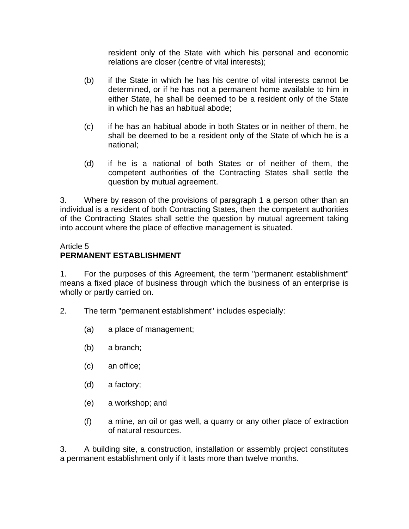resident only of the State with which his personal and economic relations are closer (centre of vital interests);

- (b) if the State in which he has his centre of vital interests cannot be determined, or if he has not a permanent home available to him in either State, he shall be deemed to be a resident only of the State in which he has an habitual abode;
- (c) if he has an habitual abode in both States or in neither of them, he shall be deemed to be a resident only of the State of which he is a national;
- (d) if he is a national of both States or of neither of them, the competent authorities of the Contracting States shall settle the question by mutual agreement.

3. Where by reason of the provisions of paragraph 1 a person other than an individual is a resident of both Contracting States, then the competent authorities of the Contracting States shall settle the question by mutual agreement taking into account where the place of effective management is situated.

### Article 5 **PERMANENT ESTABLISHMENT**

1. For the purposes of this Agreement, the term "permanent establishment" means a fixed place of business through which the business of an enterprise is wholly or partly carried on.

- 2. The term "permanent establishment" includes especially:
	- (a) a place of management;
	- (b) a branch;
	- (c) an office;
	- (d) a factory;
	- (e) a workshop; and
	- (f) a mine, an oil or gas well, a quarry or any other place of extraction of natural resources.

3. A building site, a construction, installation or assembly project constitutes a permanent establishment only if it lasts more than twelve months.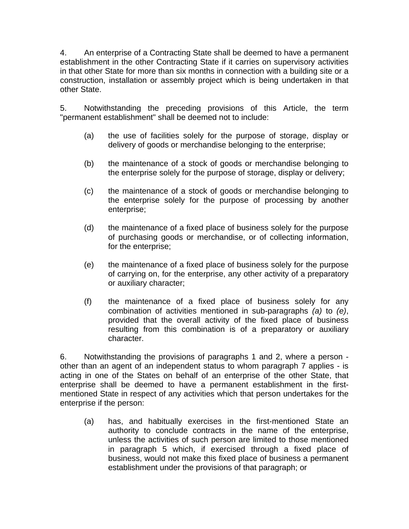4. An enterprise of a Contracting State shall be deemed to have a permanent establishment in the other Contracting State if it carries on supervisory activities in that other State for more than six months in connection with a building site or a construction, installation or assembly project which is being undertaken in that other State.

5. Notwithstanding the preceding provisions of this Article, the term "permanent establishment" shall be deemed not to include:

- (a) the use of facilities solely for the purpose of storage, display or delivery of goods or merchandise belonging to the enterprise;
- (b) the maintenance of a stock of goods or merchandise belonging to the enterprise solely for the purpose of storage, display or delivery;
- (c) the maintenance of a stock of goods or merchandise belonging to the enterprise solely for the purpose of processing by another enterprise;
- (d) the maintenance of a fixed place of business solely for the purpose of purchasing goods or merchandise, or of collecting information, for the enterprise;
- (e) the maintenance of a fixed place of business solely for the purpose of carrying on, for the enterprise, any other activity of a preparatory or auxiliary character;
- (f) the maintenance of a fixed place of business solely for any combination of activities mentioned in sub-paragraphs *(a)* to *(e)*, provided that the overall activity of the fixed place of business resulting from this combination is of a preparatory or auxiliary character.

6. Notwithstanding the provisions of paragraphs 1 and 2, where a person other than an agent of an independent status to whom paragraph 7 applies - is acting in one of the States on behalf of an enterprise of the other State, that enterprise shall be deemed to have a permanent establishment in the firstmentioned State in respect of any activities which that person undertakes for the enterprise if the person:

(a) has, and habitually exercises in the first-mentioned State an authority to conclude contracts in the name of the enterprise, unless the activities of such person are limited to those mentioned in paragraph 5 which, if exercised through a fixed place of business, would not make this fixed place of business a permanent establishment under the provisions of that paragraph; or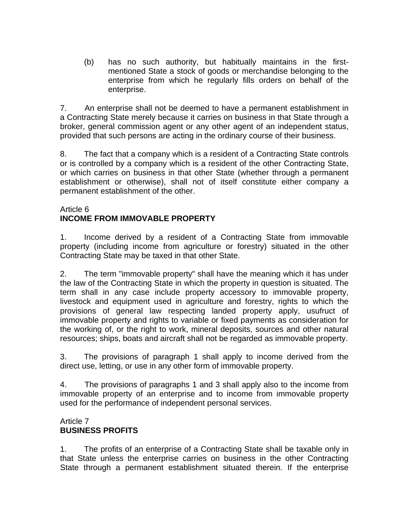(b) has no such authority, but habitually maintains in the firstmentioned State a stock of goods or merchandise belonging to the enterprise from which he regularly fills orders on behalf of the enterprise.

7. An enterprise shall not be deemed to have a permanent establishment in a Contracting State merely because it carries on business in that State through a broker, general commission agent or any other agent of an independent status, provided that such persons are acting in the ordinary course of their business.

8. The fact that a company which is a resident of a Contracting State controls or is controlled by a company which is a resident of the other Contracting State, or which carries on business in that other State (whether through a permanent establishment or otherwise), shall not of itself constitute either company a permanent establishment of the other.

## Article 6

# **INCOME FROM IMMOVABLE PROPERTY**

1. Income derived by a resident of a Contracting State from immovable property (including income from agriculture or forestry) situated in the other Contracting State may be taxed in that other State.

2. The term "immovable property" shall have the meaning which it has under the law of the Contracting State in which the property in question is situated. The term shall in any case include property accessory to immovable property, livestock and equipment used in agriculture and forestry, rights to which the provisions of general law respecting landed property apply, usufruct of immovable property and rights to variable or fixed payments as consideration for the working of, or the right to work, mineral deposits, sources and other natural resources; ships, boats and aircraft shall not be regarded as immovable property.

3. The provisions of paragraph 1 shall apply to income derived from the direct use, letting, or use in any other form of immovable property.

4. The provisions of paragraphs 1 and 3 shall apply also to the income from immovable property of an enterprise and to income from immovable property used for the performance of independent personal services.

### Article 7 **BUSINESS PROFITS**

1. The profits of an enterprise of a Contracting State shall be taxable only in that State unless the enterprise carries on business in the other Contracting State through a permanent establishment situated therein. If the enterprise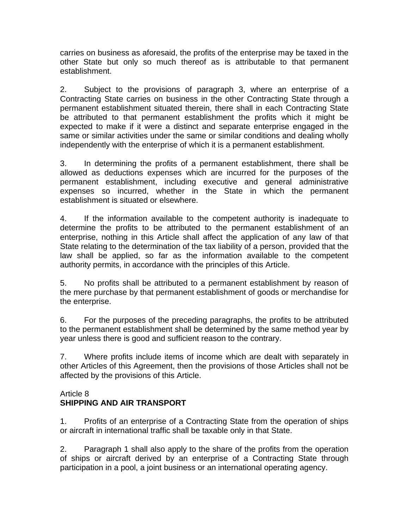carries on business as aforesaid, the profits of the enterprise may be taxed in the other State but only so much thereof as is attributable to that permanent establishment.

2. Subject to the provisions of paragraph 3, where an enterprise of a Contracting State carries on business in the other Contracting State through a permanent establishment situated therein, there shall in each Contracting State be attributed to that permanent establishment the profits which it might be expected to make if it were a distinct and separate enterprise engaged in the same or similar activities under the same or similar conditions and dealing wholly independently with the enterprise of which it is a permanent establishment.

3. In determining the profits of a permanent establishment, there shall be allowed as deductions expenses which are incurred for the purposes of the permanent establishment, including executive and general administrative expenses so incurred, whether in the State in which the permanent establishment is situated or elsewhere.

4. If the information available to the competent authority is inadequate to determine the profits to be attributed to the permanent establishment of an enterprise, nothing in this Article shall affect the application of any law of that State relating to the determination of the tax liability of a person, provided that the law shall be applied, so far as the information available to the competent authority permits, in accordance with the principles of this Article.

5. No profits shall be attributed to a permanent establishment by reason of the mere purchase by that permanent establishment of goods or merchandise for the enterprise.

6. For the purposes of the preceding paragraphs, the profits to be attributed to the permanent establishment shall be determined by the same method year by year unless there is good and sufficient reason to the contrary.

7. Where profits include items of income which are dealt with separately in other Articles of this Agreement, then the provisions of those Articles shall not be affected by the provisions of this Article.

#### Article 8 **SHIPPING AND AIR TRANSPORT**

1. Profits of an enterprise of a Contracting State from the operation of ships or aircraft in international traffic shall be taxable only in that State.

2. Paragraph 1 shall also apply to the share of the profits from the operation of ships or aircraft derived by an enterprise of a Contracting State through participation in a pool, a joint business or an international operating agency.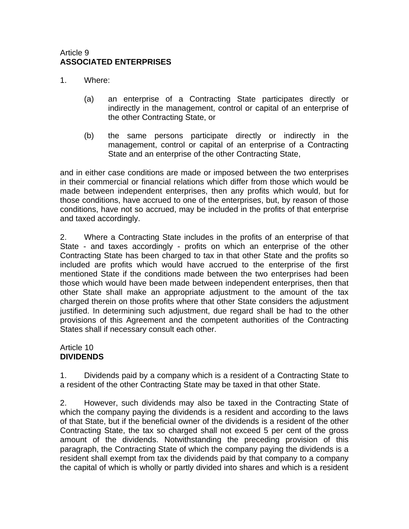### Article 9 **ASSOCIATED ENTERPRISES**

### 1. Where:

- (a) an enterprise of a Contracting State participates directly or indirectly in the management, control or capital of an enterprise of the other Contracting State, or
- (b) the same persons participate directly or indirectly in the management, control or capital of an enterprise of a Contracting State and an enterprise of the other Contracting State,

and in either case conditions are made or imposed between the two enterprises in their commercial or financial relations which differ from those which would be made between independent enterprises, then any profits which would, but for those conditions, have accrued to one of the enterprises, but, by reason of those conditions, have not so accrued, may be included in the profits of that enterprise and taxed accordingly.

2. Where a Contracting State includes in the profits of an enterprise of that State - and taxes accordingly - profits on which an enterprise of the other Contracting State has been charged to tax in that other State and the profits so included are profits which would have accrued to the enterprise of the first mentioned State if the conditions made between the two enterprises had been those which would have been made between independent enterprises, then that other State shall make an appropriate adjustment to the amount of the tax charged therein on those profits where that other State considers the adjustment justified. In determining such adjustment, due regard shall be had to the other provisions of this Agreement and the competent authorities of the Contracting States shall if necessary consult each other.

### Article 10 **DIVIDENDS**

1. Dividends paid by a company which is a resident of a Contracting State to a resident of the other Contracting State may be taxed in that other State.

2. However, such dividends may also be taxed in the Contracting State of which the company paying the dividends is a resident and according to the laws of that State, but if the beneficial owner of the dividends is a resident of the other Contracting State, the tax so charged shall not exceed 5 per cent of the gross amount of the dividends. Notwithstanding the preceding provision of this paragraph, the Contracting State of which the company paying the dividends is a resident shall exempt from tax the dividends paid by that company to a company the capital of which is wholly or partly divided into shares and which is a resident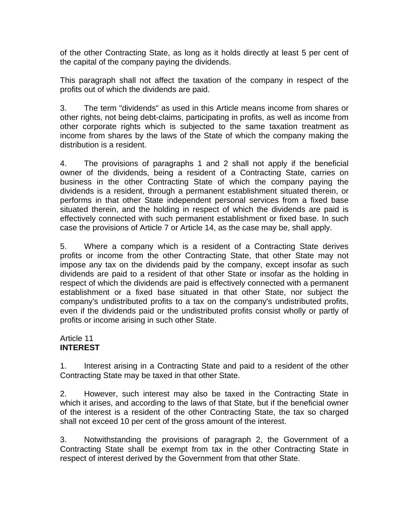of the other Contracting State, as long as it holds directly at least 5 per cent of the capital of the company paying the dividends.

This paragraph shall not affect the taxation of the company in respect of the profits out of which the dividends are paid.

3. The term "dividends" as used in this Article means income from shares or other rights, not being debt-claims, participating in profits, as well as income from other corporate rights which is subjected to the same taxation treatment as income from shares by the laws of the State of which the company making the distribution is a resident.

4. The provisions of paragraphs 1 and 2 shall not apply if the beneficial owner of the dividends, being a resident of a Contracting State, carries on business in the other Contracting State of which the company paying the dividends is a resident, through a permanent establishment situated therein, or performs in that other State independent personal services from a fixed base situated therein, and the holding in respect of which the dividends are paid is effectively connected with such permanent establishment or fixed base. In such case the provisions of Article 7 or Article 14, as the case may be, shall apply.

5. Where a company which is a resident of a Contracting State derives profits or income from the other Contracting State, that other State may not impose any tax on the dividends paid by the company, except insofar as such dividends are paid to a resident of that other State or insofar as the holding in respect of which the dividends are paid is effectively connected with a permanent establishment or a fixed base situated in that other State, nor subject the company's undistributed profits to a tax on the company's undistributed profits, even if the dividends paid or the undistributed profits consist wholly or partly of profits or income arising in such other State.

## Article 11 **INTEREST**

1. Interest arising in a Contracting State and paid to a resident of the other Contracting State may be taxed in that other State.

2. However, such interest may also be taxed in the Contracting State in which it arises, and according to the laws of that State, but if the beneficial owner of the interest is a resident of the other Contracting State, the tax so charged shall not exceed 10 per cent of the gross amount of the interest.

3. Notwithstanding the provisions of paragraph 2, the Government of a Contracting State shall be exempt from tax in the other Contracting State in respect of interest derived by the Government from that other State.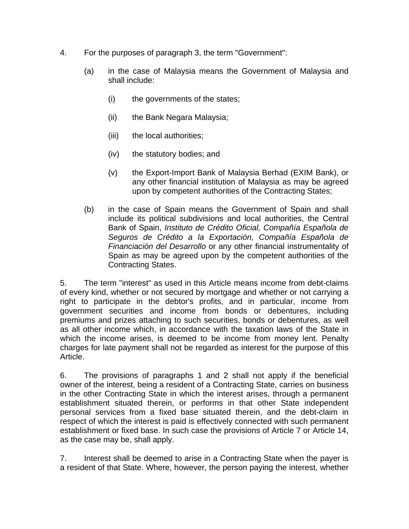- 4. For the purposes of paragraph 3, the term "Government":
	- (a) in the case of Malaysia means the Government of Malaysia and shall include:
		- (i) the governments of the states;
		- (ii) the Bank Negara Malaysia;
		- (iii) the local authorities;
		- (iv) the statutory bodies; and
		- (v) the Export-Import Bank of Malaysia Berhad (EXIM Bank), or any other financial institution of Malaysia as may be agreed upon by competent authorities of the Contracting States;
	- (b) in the case of Spain means the Government of Spain and shall include its political subdivisions and local authorities, the Central Bank of Spain, *Instituto de Crédito Oficial, Compañía Española de Seguros de Crédito a la Exportación, Compañía Española de Financiación del Desarrollo* or any other financial instrumentality of Spain as may be agreed upon by the competent authorities of the Contracting States.

5. The term "interest" as used in this Article means income from debt-claims of every kind, whether or not secured by mortgage and whether or not carrying a right to participate in the debtor's profits, and in particular, income from government securities and income from bonds or debentures, including premiums and prizes attaching to such securities, bonds or debentures, as well as all other income which, in accordance with the taxation laws of the State in which the income arises, is deemed to be income from money lent. Penalty charges for late payment shall not be regarded as interest for the purpose of this Article.

6. The provisions of paragraphs 1 and 2 shall not apply if the beneficial owner of the interest, being a resident of a Contracting State, carries on business in the other Contracting State in which the interest arises, through a permanent establishment situated therein, or performs in that other State independent personal services from a fixed base situated therein, and the debt-claim in respect of which the interest is paid is effectively connected with such permanent establishment or fixed base. In such case the provisions of Article 7 or Article 14, as the case may be, shall apply.

7. Interest shall be deemed to arise in a Contracting State when the payer is a resident of that State. Where, however, the person paying the interest, whether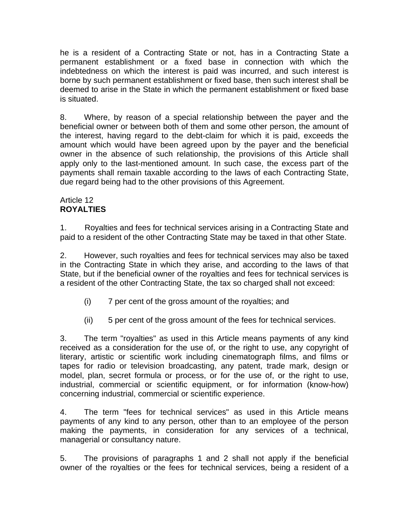he is a resident of a Contracting State or not, has in a Contracting State a permanent establishment or a fixed base in connection with which the indebtedness on which the interest is paid was incurred, and such interest is borne by such permanent establishment or fixed base, then such interest shall be deemed to arise in the State in which the permanent establishment or fixed base is situated.

8. Where, by reason of a special relationship between the payer and the beneficial owner or between both of them and some other person, the amount of the interest, having regard to the debt-claim for which it is paid, exceeds the amount which would have been agreed upon by the payer and the beneficial owner in the absence of such relationship, the provisions of this Article shall apply only to the last-mentioned amount. In such case, the excess part of the payments shall remain taxable according to the laws of each Contracting State, due regard being had to the other provisions of this Agreement.

## Article 12 **ROYALTIES**

1. Royalties and fees for technical services arising in a Contracting State and paid to a resident of the other Contracting State may be taxed in that other State.

2. However, such royalties and fees for technical services may also be taxed in the Contracting State in which they arise, and according to the laws of that State, but if the beneficial owner of the royalties and fees for technical services is a resident of the other Contracting State, the tax so charged shall not exceed:

- (i) 7 per cent of the gross amount of the royalties; and
- (ii) 5 per cent of the gross amount of the fees for technical services.

3. The term "royalties" as used in this Article means payments of any kind received as a consideration for the use of, or the right to use, any copyright of literary, artistic or scientific work including cinematograph films, and films or tapes for radio or television broadcasting, any patent, trade mark, design or model, plan, secret formula or process, or for the use of, or the right to use, industrial, commercial or scientific equipment, or for information (know-how) concerning industrial, commercial or scientific experience.

4. The term "fees for technical services" as used in this Article means payments of any kind to any person, other than to an employee of the person making the payments, in consideration for any services of a technical, managerial or consultancy nature.

5. The provisions of paragraphs 1 and 2 shall not apply if the beneficial owner of the royalties or the fees for technical services, being a resident of a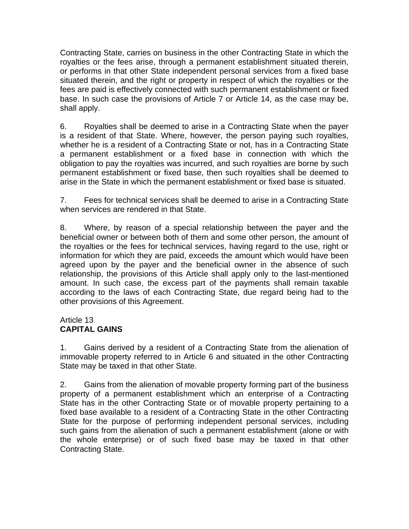Contracting State, carries on business in the other Contracting State in which the royalties or the fees arise, through a permanent establishment situated therein, or performs in that other State independent personal services from a fixed base situated therein, and the right or property in respect of which the royalties or the fees are paid is effectively connected with such permanent establishment or fixed base. In such case the provisions of Article 7 or Article 14, as the case may be, shall apply.

6. Royalties shall be deemed to arise in a Contracting State when the payer is a resident of that State. Where, however, the person paying such royalties, whether he is a resident of a Contracting State or not, has in a Contracting State a permanent establishment or a fixed base in connection with which the obligation to pay the royalties was incurred, and such royalties are borne by such permanent establishment or fixed base, then such royalties shall be deemed to arise in the State in which the permanent establishment or fixed base is situated.

7. Fees for technical services shall be deemed to arise in a Contracting State when services are rendered in that State.

8. Where, by reason of a special relationship between the payer and the beneficial owner or between both of them and some other person, the amount of the royalties or the fees for technical services, having regard to the use, right or information for which they are paid, exceeds the amount which would have been agreed upon by the payer and the beneficial owner in the absence of such relationship, the provisions of this Article shall apply only to the last-mentioned amount. In such case, the excess part of the payments shall remain taxable according to the laws of each Contracting State, due regard being had to the other provisions of this Agreement.

## Article 13 **CAPITAL GAINS**

1. Gains derived by a resident of a Contracting State from the alienation of immovable property referred to in Article 6 and situated in the other Contracting State may be taxed in that other State.

2. Gains from the alienation of movable property forming part of the business property of a permanent establishment which an enterprise of a Contracting State has in the other Contracting State or of movable property pertaining to a fixed base available to a resident of a Contracting State in the other Contracting State for the purpose of performing independent personal services, including such gains from the alienation of such a permanent establishment (alone or with the whole enterprise) or of such fixed base may be taxed in that other Contracting State.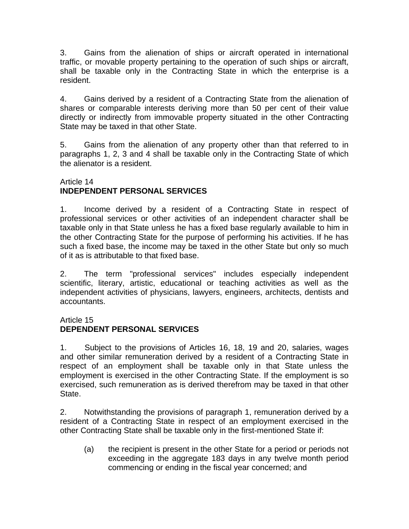3. Gains from the alienation of ships or aircraft operated in international traffic, or movable property pertaining to the operation of such ships or aircraft, shall be taxable only in the Contracting State in which the enterprise is a resident.

4. Gains derived by a resident of a Contracting State from the alienation of shares or comparable interests deriving more than 50 per cent of their value directly or indirectly from immovable property situated in the other Contracting State may be taxed in that other State.

5. Gains from the alienation of any property other than that referred to in paragraphs 1, 2, 3 and 4 shall be taxable only in the Contracting State of which the alienator is a resident.

### Article 14 **INDEPENDENT PERSONAL SERVICES**

1. Income derived by a resident of a Contracting State in respect of professional services or other activities of an independent character shall be taxable only in that State unless he has a fixed base regularly available to him in the other Contracting State for the purpose of performing his activities. If he has such a fixed base, the income may be taxed in the other State but only so much of it as is attributable to that fixed base.

2. The term "professional services" includes especially independent scientific, literary, artistic, educational or teaching activities as well as the independent activities of physicians, lawyers, engineers, architects, dentists and accountants.

## Article 15

# **DEPENDENT PERSONAL SERVICES**

1. Subject to the provisions of Articles 16, 18, 19 and 20, salaries, wages and other similar remuneration derived by a resident of a Contracting State in respect of an employment shall be taxable only in that State unless the employment is exercised in the other Contracting State. If the employment is so exercised, such remuneration as is derived therefrom may be taxed in that other State.

2. Notwithstanding the provisions of paragraph 1, remuneration derived by a resident of a Contracting State in respect of an employment exercised in the other Contracting State shall be taxable only in the first-mentioned State if:

(a) the recipient is present in the other State for a period or periods not exceeding in the aggregate 183 days in any twelve month period commencing or ending in the fiscal year concerned; and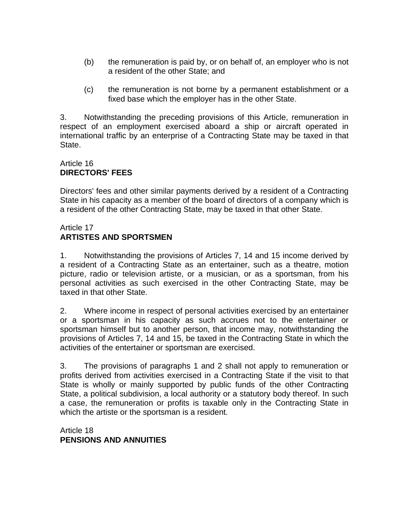- (b) the remuneration is paid by, or on behalf of, an employer who is not a resident of the other State; and
- (c) the remuneration is not borne by a permanent establishment or a fixed base which the employer has in the other State.

3. Notwithstanding the preceding provisions of this Article, remuneration in respect of an employment exercised aboard a ship or aircraft operated in international traffic by an enterprise of a Contracting State may be taxed in that State.

### Article 16 **DIRECTORS' FEES**

Directors' fees and other similar payments derived by a resident of a Contracting State in his capacity as a member of the board of directors of a company which is a resident of the other Contracting State, may be taxed in that other State.

## Article 17 **ARTISTES AND SPORTSMEN**

1. Notwithstanding the provisions of Articles 7, 14 and 15 income derived by a resident of a Contracting State as an entertainer, such as a theatre, motion picture, radio or television artiste, or a musician, or as a sportsman, from his personal activities as such exercised in the other Contracting State, may be taxed in that other State.

2. Where income in respect of personal activities exercised by an entertainer or a sportsman in his capacity as such accrues not to the entertainer or sportsman himself but to another person, that income may, notwithstanding the provisions of Articles 7, 14 and 15, be taxed in the Contracting State in which the activities of the entertainer or sportsman are exercised.

3. The provisions of paragraphs 1 and 2 shall not apply to remuneration or profits derived from activities exercised in a Contracting State if the visit to that State is wholly or mainly supported by public funds of the other Contracting State, a political subdivision, a local authority or a statutory body thereof. In such a case, the remuneration or profits is taxable only in the Contracting State in which the artiste or the sportsman is a resident.

Article 18 **PENSIONS AND ANNUITIES**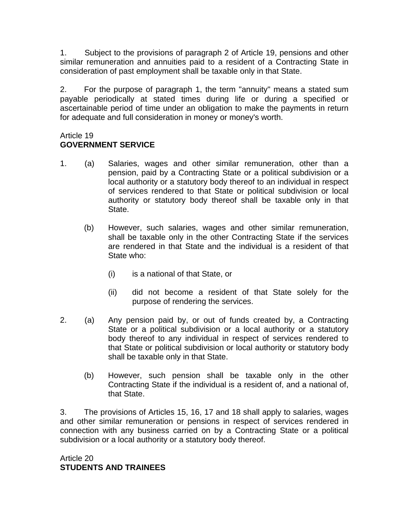1. Subject to the provisions of paragraph 2 of Article 19, pensions and other similar remuneration and annuities paid to a resident of a Contracting State in consideration of past employment shall be taxable only in that State.

2. For the purpose of paragraph 1, the term "annuity" means a stated sum payable periodically at stated times during life or during a specified or ascertainable period of time under an obligation to make the payments in return for adequate and full consideration in money or money's worth.

### Article 19 **GOVERNMENT SERVICE**

- 1. (a) Salaries, wages and other similar remuneration, other than a pension, paid by a Contracting State or a political subdivision or a local authority or a statutory body thereof to an individual in respect of services rendered to that State or political subdivision or local authority or statutory body thereof shall be taxable only in that State.
	- (b) However, such salaries, wages and other similar remuneration, shall be taxable only in the other Contracting State if the services are rendered in that State and the individual is a resident of that State who:
		- (i) is a national of that State, or
		- (ii) did not become a resident of that State solely for the purpose of rendering the services.
- 2. (a) Any pension paid by, or out of funds created by, a Contracting State or a political subdivision or a local authority or a statutory body thereof to any individual in respect of services rendered to that State or political subdivision or local authority or statutory body shall be taxable only in that State.
	- (b) However, such pension shall be taxable only in the other Contracting State if the individual is a resident of, and a national of, that State.

3. The provisions of Articles 15, 16, 17 and 18 shall apply to salaries, wages and other similar remuneration or pensions in respect of services rendered in connection with any business carried on by a Contracting State or a political subdivision or a local authority or a statutory body thereof.

Article 20 **STUDENTS AND TRAINEES**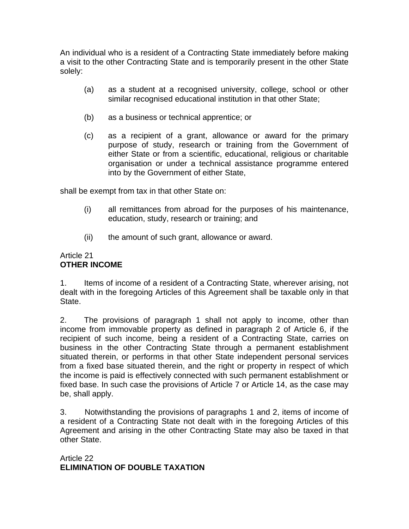An individual who is a resident of a Contracting State immediately before making a visit to the other Contracting State and is temporarily present in the other State solely:

- (a) as a student at a recognised university, college, school or other similar recognised educational institution in that other State;
- (b) as a business or technical apprentice; or
- (c) as a recipient of a grant, allowance or award for the primary purpose of study, research or training from the Government of either State or from a scientific, educational, religious or charitable organisation or under a technical assistance programme entered into by the Government of either State,

shall be exempt from tax in that other State on:

- (i) all remittances from abroad for the purposes of his maintenance, education, study, research or training; and
- (ii) the amount of such grant, allowance or award.

## Article 21 **OTHER INCOME**

1. Items of income of a resident of a Contracting State, wherever arising, not dealt with in the foregoing Articles of this Agreement shall be taxable only in that State.

2. The provisions of paragraph 1 shall not apply to income, other than income from immovable property as defined in paragraph 2 of Article 6, if the recipient of such income, being a resident of a Contracting State, carries on business in the other Contracting State through a permanent establishment situated therein, or performs in that other State independent personal services from a fixed base situated therein, and the right or property in respect of which the income is paid is effectively connected with such permanent establishment or fixed base. In such case the provisions of Article 7 or Article 14, as the case may be, shall apply.

3. Notwithstanding the provisions of paragraphs 1 and 2, items of income of a resident of a Contracting State not dealt with in the foregoing Articles of this Agreement and arising in the other Contracting State may also be taxed in that other State.

Article 22 **ELIMINATION OF DOUBLE TAXATION**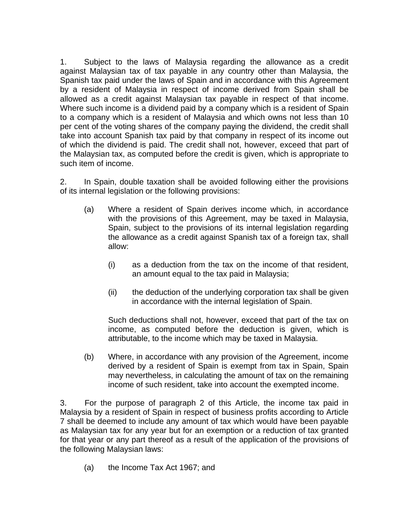1. Subject to the laws of Malaysia regarding the allowance as a credit against Malaysian tax of tax payable in any country other than Malaysia, the Spanish tax paid under the laws of Spain and in accordance with this Agreement by a resident of Malaysia in respect of income derived from Spain shall be allowed as a credit against Malaysian tax payable in respect of that income. Where such income is a dividend paid by a company which is a resident of Spain to a company which is a resident of Malaysia and which owns not less than 10 per cent of the voting shares of the company paying the dividend, the credit shall take into account Spanish tax paid by that company in respect of its income out of which the dividend is paid. The credit shall not, however, exceed that part of the Malaysian tax, as computed before the credit is given, which is appropriate to such item of income.

2. In Spain, double taxation shall be avoided following either the provisions of its internal legislation or the following provisions:

- (a) Where a resident of Spain derives income which, in accordance with the provisions of this Agreement, may be taxed in Malaysia, Spain, subject to the provisions of its internal legislation regarding the allowance as a credit against Spanish tax of a foreign tax, shall allow:
	- (i) as a deduction from the tax on the income of that resident, an amount equal to the tax paid in Malaysia;
	- (ii) the deduction of the underlying corporation tax shall be given in accordance with the internal legislation of Spain.

Such deductions shall not, however, exceed that part of the tax on income, as computed before the deduction is given, which is attributable, to the income which may be taxed in Malaysia.

(b) Where, in accordance with any provision of the Agreement, income derived by a resident of Spain is exempt from tax in Spain, Spain may nevertheless, in calculating the amount of tax on the remaining income of such resident, take into account the exempted income.

3. For the purpose of paragraph 2 of this Article, the income tax paid in Malaysia by a resident of Spain in respect of business profits according to Article 7 shall be deemed to include any amount of tax which would have been payable as Malaysian tax for any year but for an exemption or a reduction of tax granted for that year or any part thereof as a result of the application of the provisions of the following Malaysian laws:

(a) the Income Tax Act 1967; and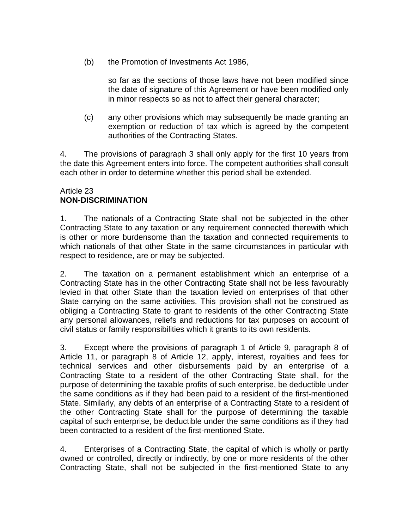(b) the Promotion of Investments Act 1986,

so far as the sections of those laws have not been modified since the date of signature of this Agreement or have been modified only in minor respects so as not to affect their general character;

(c) any other provisions which may subsequently be made granting an exemption or reduction of tax which is agreed by the competent authorities of the Contracting States.

4. The provisions of paragraph 3 shall only apply for the first 10 years from the date this Agreement enters into force. The competent authorities shall consult each other in order to determine whether this period shall be extended.

### Article 23 **NON-DISCRIMINATION**

1. The nationals of a Contracting State shall not be subjected in the other Contracting State to any taxation or any requirement connected therewith which is other or more burdensome than the taxation and connected requirements to which nationals of that other State in the same circumstances in particular with respect to residence, are or may be subjected.

2. The taxation on a permanent establishment which an enterprise of a Contracting State has in the other Contracting State shall not be less favourably levied in that other State than the taxation levied on enterprises of that other State carrying on the same activities. This provision shall not be construed as obliging a Contracting State to grant to residents of the other Contracting State any personal allowances, reliefs and reductions for tax purposes on account of civil status or family responsibilities which it grants to its own residents.

3. Except where the provisions of paragraph 1 of Article 9, paragraph 8 of Article 11, or paragraph 8 of Article 12, apply, interest, royalties and fees for technical services and other disbursements paid by an enterprise of a Contracting State to a resident of the other Contracting State shall, for the purpose of determining the taxable profits of such enterprise, be deductible under the same conditions as if they had been paid to a resident of the first-mentioned State. Similarly, any debts of an enterprise of a Contracting State to a resident of the other Contracting State shall for the purpose of determining the taxable capital of such enterprise, be deductible under the same conditions as if they had been contracted to a resident of the first-mentioned State.

4. Enterprises of a Contracting State, the capital of which is wholly or partly owned or controlled, directly or indirectly, by one or more residents of the other Contracting State, shall not be subjected in the first-mentioned State to any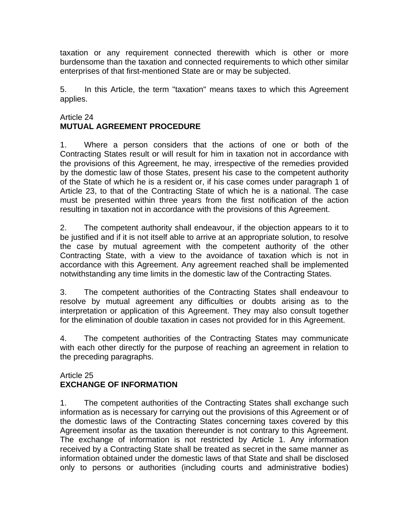taxation or any requirement connected therewith which is other or more burdensome than the taxation and connected requirements to which other similar enterprises of that first-mentioned State are or may be subjected.

5. In this Article, the term "taxation" means taxes to which this Agreement applies.

## Article 24 **MUTUAL AGREEMENT PROCEDURE**

1. Where a person considers that the actions of one or both of the Contracting States result or will result for him in taxation not in accordance with the provisions of this Agreement, he may, irrespective of the remedies provided by the domestic law of those States, present his case to the competent authority of the State of which he is a resident or, if his case comes under paragraph 1 of Article 23, to that of the Contracting State of which he is a national. The case must be presented within three years from the first notification of the action resulting in taxation not in accordance with the provisions of this Agreement.

2. The competent authority shall endeavour, if the objection appears to it to be justified and if it is not itself able to arrive at an appropriate solution, to resolve the case by mutual agreement with the competent authority of the other Contracting State, with a view to the avoidance of taxation which is not in accordance with this Agreement. Any agreement reached shall be implemented notwithstanding any time limits in the domestic law of the Contracting States.

3. The competent authorities of the Contracting States shall endeavour to resolve by mutual agreement any difficulties or doubts arising as to the interpretation or application of this Agreement. They may also consult together for the elimination of double taxation in cases not provided for in this Agreement.

4. The competent authorities of the Contracting States may communicate with each other directly for the purpose of reaching an agreement in relation to the preceding paragraphs.

### Article 25 **EXCHANGE OF INFORMATION**

1. The competent authorities of the Contracting States shall exchange such information as is necessary for carrying out the provisions of this Agreement or of the domestic laws of the Contracting States concerning taxes covered by this Agreement insofar as the taxation thereunder is not contrary to this Agreement. The exchange of information is not restricted by Article 1. Any information received by a Contracting State shall be treated as secret in the same manner as information obtained under the domestic laws of that State and shall be disclosed only to persons or authorities (including courts and administrative bodies)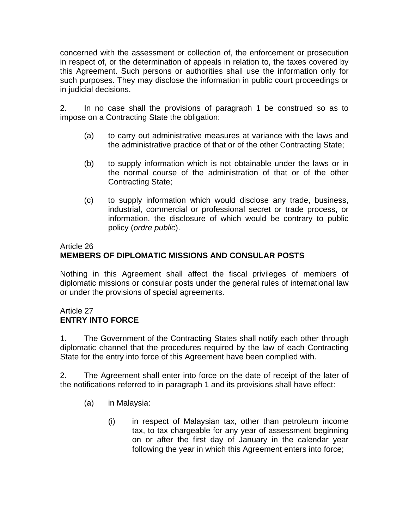concerned with the assessment or collection of, the enforcement or prosecution in respect of, or the determination of appeals in relation to, the taxes covered by this Agreement. Such persons or authorities shall use the information only for such purposes. They may disclose the information in public court proceedings or in judicial decisions.

2. In no case shall the provisions of paragraph 1 be construed so as to impose on a Contracting State the obligation:

- (a) to carry out administrative measures at variance with the laws and the administrative practice of that or of the other Contracting State;
- (b) to supply information which is not obtainable under the laws or in the normal course of the administration of that or of the other Contracting State;
- (c) to supply information which would disclose any trade, business, industrial, commercial or professional secret or trade process, or information, the disclosure of which would be contrary to public policy (*ordre public*).

# Article 26

## **MEMBERS OF DIPLOMATIC MISSIONS AND CONSULAR POSTS**

Nothing in this Agreement shall affect the fiscal privileges of members of diplomatic missions or consular posts under the general rules of international law or under the provisions of special agreements.

### Article 27 **ENTRY INTO FORCE**

1. The Government of the Contracting States shall notify each other through diplomatic channel that the procedures required by the law of each Contracting State for the entry into force of this Agreement have been complied with.

2. The Agreement shall enter into force on the date of receipt of the later of the notifications referred to in paragraph 1 and its provisions shall have effect:

- (a) in Malaysia:
	- (i) in respect of Malaysian tax, other than petroleum income tax, to tax chargeable for any year of assessment beginning on or after the first day of January in the calendar year following the year in which this Agreement enters into force;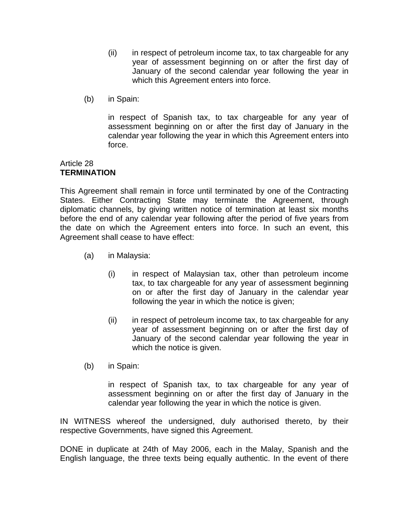- (ii) in respect of petroleum income tax, to tax chargeable for any year of assessment beginning on or after the first day of January of the second calendar year following the year in which this Agreement enters into force.
- (b) in Spain:

in respect of Spanish tax, to tax chargeable for any year of assessment beginning on or after the first day of January in the calendar year following the year in which this Agreement enters into force.

### Article 28 **TERMINATION**

This Agreement shall remain in force until terminated by one of the Contracting States. Either Contracting State may terminate the Agreement, through diplomatic channels, by giving written notice of termination at least six months before the end of any calendar year following after the period of five years from the date on which the Agreement enters into force. In such an event, this Agreement shall cease to have effect:

- (a) in Malaysia:
	- (i) in respect of Malaysian tax, other than petroleum income tax, to tax chargeable for any year of assessment beginning on or after the first day of January in the calendar year following the year in which the notice is given;
	- (ii) in respect of petroleum income tax, to tax chargeable for any year of assessment beginning on or after the first day of January of the second calendar year following the year in which the notice is given.
- (b) in Spain:

in respect of Spanish tax, to tax chargeable for any year of assessment beginning on or after the first day of January in the calendar year following the year in which the notice is given.

IN WITNESS whereof the undersigned, duly authorised thereto, by their respective Governments, have signed this Agreement.

DONE in duplicate at 24th of May 2006, each in the Malay, Spanish and the English language, the three texts being equally authentic. In the event of there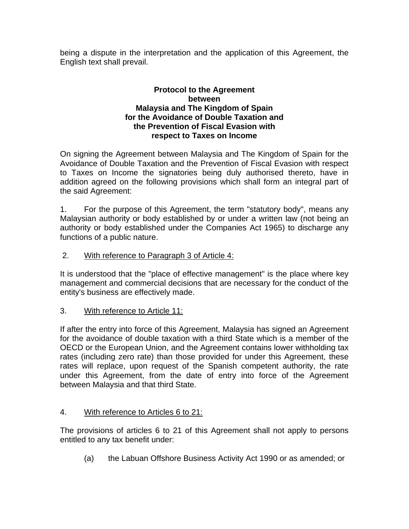being a dispute in the interpretation and the application of this Agreement, the English text shall prevail.

### **Protocol to the Agreement between Malaysia and The Kingdom of Spain for the Avoidance of Double Taxation and the Prevention of Fiscal Evasion with respect to Taxes on Income**

On signing the Agreement between Malaysia and The Kingdom of Spain for the Avoidance of Double Taxation and the Prevention of Fiscal Evasion with respect to Taxes on Income the signatories being duly authorised thereto, have in addition agreed on the following provisions which shall form an integral part of the said Agreement:

1. For the purpose of this Agreement, the term "statutory body", means any Malaysian authority or body established by or under a written law (not being an authority or body established under the Companies Act 1965) to discharge any functions of a public nature.

## 2. With reference to Paragraph 3 of Article 4:

It is understood that the "place of effective management" is the place where key management and commercial decisions that are necessary for the conduct of the entity's business are effectively made.

## 3. With reference to Article 11:

If after the entry into force of this Agreement, Malaysia has signed an Agreement for the avoidance of double taxation with a third State which is a member of the OECD or the European Union, and the Agreement contains lower withholding tax rates (including zero rate) than those provided for under this Agreement, these rates will replace, upon request of the Spanish competent authority, the rate under this Agreement, from the date of entry into force of the Agreement between Malaysia and that third State.

## 4. With reference to Articles 6 to 21:

The provisions of articles 6 to 21 of this Agreement shall not apply to persons entitled to any tax benefit under:

(a) the Labuan Offshore Business Activity Act 1990 or as amended; or